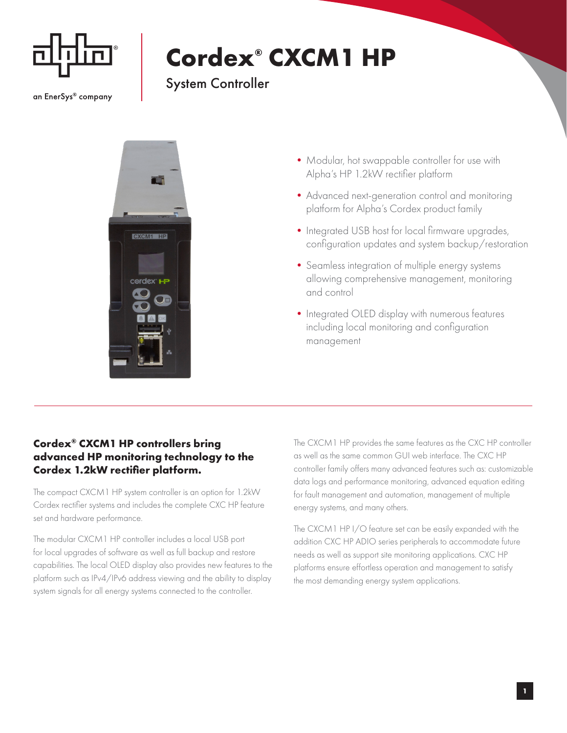

an EnerSys® company

## **Cordex® CXCM1 HP**

## System Controller



- Modular, hot swappable controller for use with Alpha's HP 1.2kW rectifier platform
- •Advanced next-generation control and monitoring platform for Alpha's Cordex product family
- Integrated USB host for local firmware upgrades, configuration updates and system backup/restoration
- Seamless integration of multiple energy systems allowing comprehensive management, monitoring and control
- Integrated OLED display with numerous features including local monitoring and configuration management

## **Cordex® CXCM1 HP controllers bring advanced HP monitoring technology to the Cordex 1.2kW rectifier platform.**

The compact CXCM1 HP system controller is an option for 1.2kW Cordex rectifier systems and includes the complete CXC HP feature set and hardware performance.

The modular CXCM1 HP controller includes a local USB port for local upgrades of software as well as full backup and restore capabilities. The local OLED display also provides new features to the platform such as IPv4/IPv6 address viewing and the ability to display system signals for all energy systems connected to the controller.

The CXCM1 HP provides the same features as the CXC HP controller as well as the same common GUI web interface. The CXC HP controller family offers many advanced features such as: customizable data logs and performance monitoring, advanced equation editing for fault management and automation, management of multiple energy systems, and many others.

The CXCM1 HP I/O feature set can be easily expanded with the addition CXC HP ADIO series peripherals to accommodate future needs as well as support site monitoring applications. CXC HP platforms ensure effortless operation and management to satisfy the most demanding energy system applications.